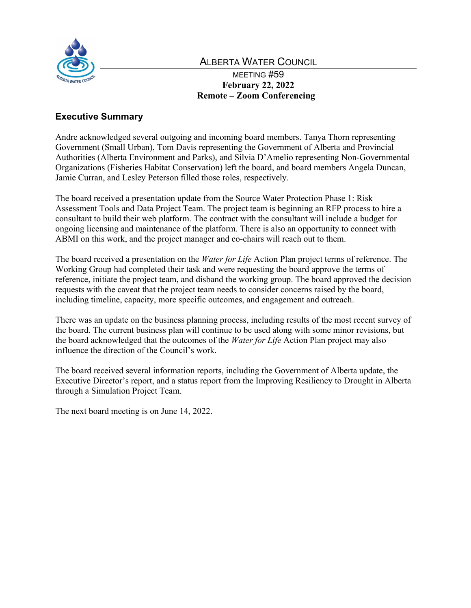

# ALBERTA WATER COUNCIL

MEETING #59 **February 22, 2022 Remote – Zoom Conferencing**

# **Executive Summary**

Andre acknowledged several outgoing and incoming board members. Tanya Thorn representing Government (Small Urban), Tom Davis representing the Government of Alberta and Provincial Authorities (Alberta Environment and Parks), and Silvia D'Amelio representing Non-Governmental Organizations (Fisheries Habitat Conservation) left the board, and board members Angela Duncan, Jamie Curran, and Lesley Peterson filled those roles, respectively.

The board received a presentation update from the Source Water Protection Phase 1: Risk Assessment Tools and Data Project Team. The project team is beginning an RFP process to hire a consultant to build their web platform. The contract with the consultant will include a budget for ongoing licensing and maintenance of the platform. There is also an opportunity to connect with ABMI on this work, and the project manager and co-chairs will reach out to them.

The board received a presentation on the *Water for Life* Action Plan project terms of reference. The Working Group had completed their task and were requesting the board approve the terms of reference, initiate the project team, and disband the working group. The board approved the decision requests with the caveat that the project team needs to consider concerns raised by the board, including timeline, capacity, more specific outcomes, and engagement and outreach.

There was an update on the business planning process, including results of the most recent survey of the board. The current business plan will continue to be used along with some minor revisions, but the board acknowledged that the outcomes of the *Water for Life* Action Plan project may also influence the direction of the Council's work.

The board received several information reports, including the Government of Alberta update, the Executive Director's report, and a status report from the Improving Resiliency to Drought in Alberta through a Simulation Project Team.

The next board meeting is on June 14, 2022.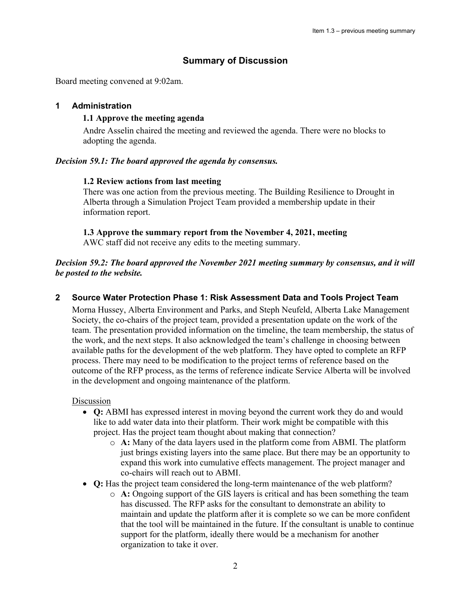## **Summary of Discussion**

Board meeting convened at 9:02am.

## **1 Administration**

## **1.1 Approve the meeting agenda**

Andre Asselin chaired the meeting and reviewed the agenda. There were no blocks to adopting the agenda.

## *Decision 59.1: The board approved the agenda by consensus.*

### **1.2 Review actions from last meeting**

There was one action from the previous meeting. The Building Resilience to Drought in Alberta through a Simulation Project Team provided a membership update in their information report.

### **1.3 Approve the summary report from the November 4, 2021, meeting**

AWC staff did not receive any edits to the meeting summary.

## *Decision 59.2: The board approved the November 2021 meeting summary by consensus, and it will be posted to the website.*

## **2 Source Water Protection Phase 1: Risk Assessment Data and Tools Project Team**

Morna Hussey, Alberta Environment and Parks, and Steph Neufeld, Alberta Lake Management Society, the co-chairs of the project team, provided a presentation update on the work of the team. The presentation provided information on the timeline, the team membership, the status of the work, and the next steps. It also acknowledged the team's challenge in choosing between available paths for the development of the web platform. They have opted to complete an RFP process. There may need to be modification to the project terms of reference based on the outcome of the RFP process, as the terms of reference indicate Service Alberta will be involved in the development and ongoing maintenance of the platform.

#### **Discussion**

- **Q:** ABMI has expressed interest in moving beyond the current work they do and would like to add water data into their platform. Their work might be compatible with this project. Has the project team thought about making that connection?
	- o **A:** Many of the data layers used in the platform come from ABMI. The platform just brings existing layers into the same place. But there may be an opportunity to expand this work into cumulative effects management. The project manager and co-chairs will reach out to ABMI.
- **Q:** Has the project team considered the long-term maintenance of the web platform?
	- o **A:** Ongoing support of the GIS layers is critical and has been something the team has discussed. The RFP asks for the consultant to demonstrate an ability to maintain and update the platform after it is complete so we can be more confident that the tool will be maintained in the future. If the consultant is unable to continue support for the platform, ideally there would be a mechanism for another organization to take it over.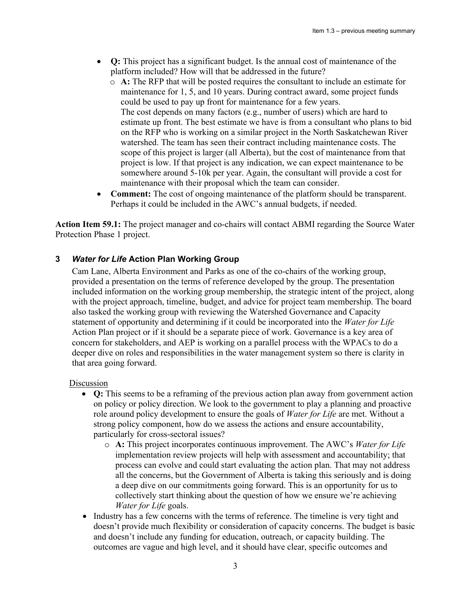- **Q:** This project has a significant budget. Is the annual cost of maintenance of the platform included? How will that be addressed in the future?
	- o **A:** The RFP that will be posted requires the consultant to include an estimate for maintenance for 1, 5, and 10 years. During contract award, some project funds could be used to pay up front for maintenance for a few years. The cost depends on many factors (e.g., number of users) which are hard to estimate up front. The best estimate we have is from a consultant who plans to bid on the RFP who is working on a similar project in the North Saskatchewan River watershed. The team has seen their contract including maintenance costs. The scope of this project is larger (all Alberta), but the cost of maintenance from that project is low. If that project is any indication, we can expect maintenance to be somewhere around 5-10k per year. Again, the consultant will provide a cost for maintenance with their proposal which the team can consider.
- **Comment:** The cost of ongoing maintenance of the platform should be transparent. Perhaps it could be included in the AWC's annual budgets, if needed.

**Action Item 59.1:** The project manager and co-chairs will contact ABMI regarding the Source Water Protection Phase 1 project.

## **3** *Water for Life* **Action Plan Working Group**

Cam Lane, Alberta Environment and Parks as one of the co-chairs of the working group, provided a presentation on the terms of reference developed by the group. The presentation included information on the working group membership, the strategic intent of the project, along with the project approach, timeline, budget, and advice for project team membership. The board also tasked the working group with reviewing the Watershed Governance and Capacity statement of opportunity and determining if it could be incorporated into the *Water for Life*  Action Plan project or if it should be a separate piece of work. Governance is a key area of concern for stakeholders, and AEP is working on a parallel process with the WPACs to do a deeper dive on roles and responsibilities in the water management system so there is clarity in that area going forward.

#### Discussion

- **Q:** This seems to be a reframing of the previous action plan away from government action on policy or policy direction. We look to the government to play a planning and proactive role around policy development to ensure the goals of *Water for Life* are met. Without a strong policy component, how do we assess the actions and ensure accountability, particularly for cross-sectoral issues?
	- o **A:** This project incorporates continuous improvement. The AWC's *Water for Life*  implementation review projects will help with assessment and accountability; that process can evolve and could start evaluating the action plan. That may not address all the concerns, but the Government of Alberta is taking this seriously and is doing a deep dive on our commitments going forward. This is an opportunity for us to collectively start thinking about the question of how we ensure we're achieving *Water for Life* goals.
- Industry has a few concerns with the terms of reference. The timeline is very tight and doesn't provide much flexibility or consideration of capacity concerns. The budget is basic and doesn't include any funding for education, outreach, or capacity building. The outcomes are vague and high level, and it should have clear, specific outcomes and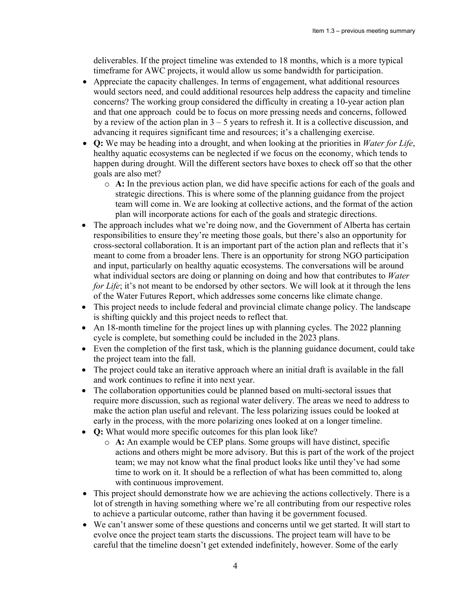deliverables. If the project timeline was extended to 18 months, which is a more typical timeframe for AWC projects, it would allow us some bandwidth for participation.

- Appreciate the capacity challenges. In terms of engagement, what additional resources would sectors need, and could additional resources help address the capacity and timeline concerns? The working group considered the difficulty in creating a 10-year action plan and that one approach could be to focus on more pressing needs and concerns, followed by a review of the action plan in  $3 - 5$  years to refresh it. It is a collective discussion, and advancing it requires significant time and resources; it's a challenging exercise.
- **Q:** We may be heading into a drought, and when looking at the priorities in *Water for Life*, healthy aquatic ecosystems can be neglected if we focus on the economy, which tends to happen during drought. Will the different sectors have boxes to check off so that the other goals are also met?
	- o **A:** In the previous action plan, we did have specific actions for each of the goals and strategic directions. This is where some of the planning guidance from the project team will come in. We are looking at collective actions, and the format of the action plan will incorporate actions for each of the goals and strategic directions.
- The approach includes what we're doing now, and the Government of Alberta has certain responsibilities to ensure they're meeting those goals, but there's also an opportunity for cross-sectoral collaboration. It is an important part of the action plan and reflects that it's meant to come from a broader lens. There is an opportunity for strong NGO participation and input, particularly on healthy aquatic ecosystems. The conversations will be around what individual sectors are doing or planning on doing and how that contributes to *Water for Life*; it's not meant to be endorsed by other sectors. We will look at it through the lens of the Water Futures Report, which addresses some concerns like climate change.
- This project needs to include federal and provincial climate change policy. The landscape is shifting quickly and this project needs to reflect that.
- An 18-month timeline for the project lines up with planning cycles. The 2022 planning cycle is complete, but something could be included in the 2023 plans.
- Even the completion of the first task, which is the planning guidance document, could take the project team into the fall.
- The project could take an iterative approach where an initial draft is available in the fall and work continues to refine it into next year.
- The collaboration opportunities could be planned based on multi-sectoral issues that require more discussion, such as regional water delivery. The areas we need to address to make the action plan useful and relevant. The less polarizing issues could be looked at early in the process, with the more polarizing ones looked at on a longer timeline.
- **Q:** What would more specific outcomes for this plan look like?
	- o **A:** An example would be CEP plans. Some groups will have distinct, specific actions and others might be more advisory. But this is part of the work of the project team; we may not know what the final product looks like until they've had some time to work on it. It should be a reflection of what has been committed to, along with continuous improvement.
- This project should demonstrate how we are achieving the actions collectively. There is a lot of strength in having something where we're all contributing from our respective roles to achieve a particular outcome, rather than having it be government focused.
- We can't answer some of these questions and concerns until we get started. It will start to evolve once the project team starts the discussions. The project team will have to be careful that the timeline doesn't get extended indefinitely, however. Some of the early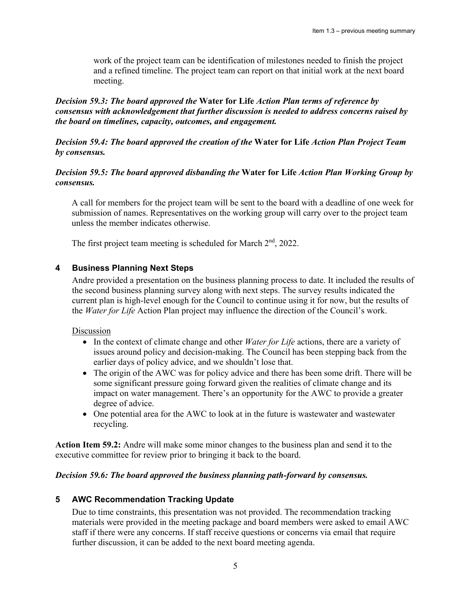work of the project team can be identification of milestones needed to finish the project and a refined timeline. The project team can report on that initial work at the next board meeting.

## *Decision 59.3: The board approved the* **Water for Life** *Action Plan terms of reference by consensus with acknowledgement that further discussion is needed to address concerns raised by the board on timelines, capacity, outcomes, and engagement.*

*Decision 59.4: The board approved the creation of the* **Water for Life** *Action Plan Project Team by consensus.* 

## *Decision 59.5: The board approved disbanding the* **Water for Life** *Action Plan Working Group by consensus.*

A call for members for the project team will be sent to the board with a deadline of one week for submission of names. Representatives on the working group will carry over to the project team unless the member indicates otherwise.

The first project team meeting is scheduled for March  $2<sup>nd</sup>$ , 2022.

## **4 Business Planning Next Steps**

Andre provided a presentation on the business planning process to date. It included the results of the second business planning survey along with next steps. The survey results indicated the current plan is high-level enough for the Council to continue using it for now, but the results of the *Water for Life* Action Plan project may influence the direction of the Council's work.

#### Discussion

- In the context of climate change and other *Water for Life* actions, there are a variety of issues around policy and decision-making. The Council has been stepping back from the earlier days of policy advice, and we shouldn't lose that.
- The origin of the AWC was for policy advice and there has been some drift. There will be some significant pressure going forward given the realities of climate change and its impact on water management. There's an opportunity for the AWC to provide a greater degree of advice.
- One potential area for the AWC to look at in the future is wastewater and wastewater recycling.

**Action Item 59.2:** Andre will make some minor changes to the business plan and send it to the executive committee for review prior to bringing it back to the board.

#### *Decision 59.6: The board approved the business planning path-forward by consensus.*

## **5 AWC Recommendation Tracking Update**

Due to time constraints, this presentation was not provided. The recommendation tracking materials were provided in the meeting package and board members were asked to email AWC staff if there were any concerns. If staff receive questions or concerns via email that require further discussion, it can be added to the next board meeting agenda.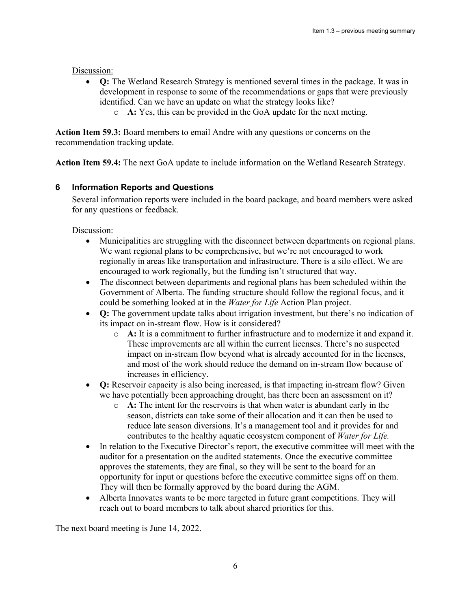### Discussion:

- **Q:** The Wetland Research Strategy is mentioned several times in the package. It was in development in response to some of the recommendations or gaps that were previously identified. Can we have an update on what the strategy looks like?
	- o **A:** Yes, this can be provided in the GoA update for the next meting.

**Action Item 59.3:** Board members to email Andre with any questions or concerns on the recommendation tracking update.

**Action Item 59.4:** The next GoA update to include information on the Wetland Research Strategy.

## **6 Information Reports and Questions**

Several information reports were included in the board package, and board members were asked for any questions or feedback.

Discussion:

- Municipalities are struggling with the disconnect between departments on regional plans. We want regional plans to be comprehensive, but we're not encouraged to work regionally in areas like transportation and infrastructure. There is a silo effect. We are encouraged to work regionally, but the funding isn't structured that way.
- The disconnect between departments and regional plans has been scheduled within the Government of Alberta. The funding structure should follow the regional focus, and it could be something looked at in the *Water for Life* Action Plan project.
- **Q:** The government update talks about irrigation investment, but there's no indication of its impact on in-stream flow. How is it considered?
	- o **A:** It is a commitment to further infrastructure and to modernize it and expand it. These improvements are all within the current licenses. There's no suspected impact on in-stream flow beyond what is already accounted for in the licenses, and most of the work should reduce the demand on in-stream flow because of increases in efficiency.
- **Q:** Reservoir capacity is also being increased, is that impacting in-stream flow? Given we have potentially been approaching drought, has there been an assessment on it?
	- o **A:** The intent for the reservoirs is that when water is abundant early in the season, districts can take some of their allocation and it can then be used to reduce late season diversions. It's a management tool and it provides for and contributes to the healthy aquatic ecosystem component of *Water for Life.*
- In relation to the Executive Director's report, the executive committee will meet with the auditor for a presentation on the audited statements. Once the executive committee approves the statements, they are final, so they will be sent to the board for an opportunity for input or questions before the executive committee signs off on them. They will then be formally approved by the board during the AGM.
- Alberta Innovates wants to be more targeted in future grant competitions. They will reach out to board members to talk about shared priorities for this.

The next board meeting is June 14, 2022.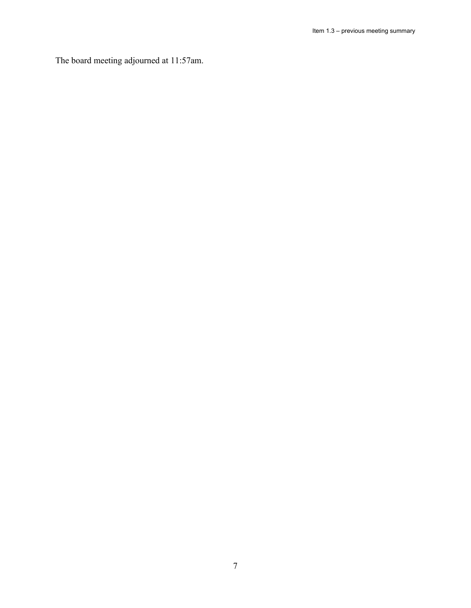The board meeting adjourned at 11:57am.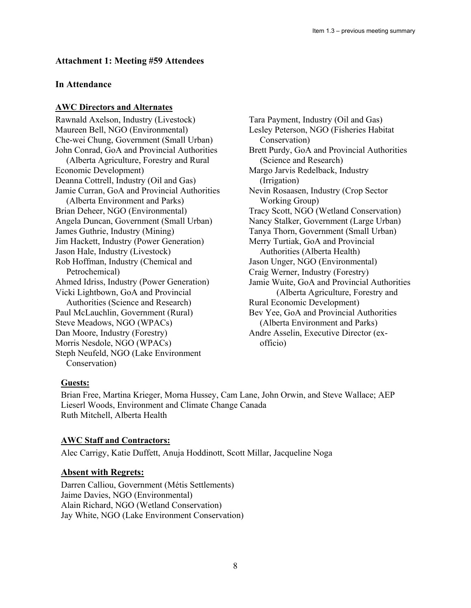## **Attachment 1: Meeting #59 Attendees**

## **In Attendance**

#### **AWC Directors and Alternates**

Rawnald Axelson, Industry (Livestock) Maureen Bell, NGO (Environmental) Che-wei Chung, Government (Small Urban) John Conrad, GoA and Provincial Authorities (Alberta Agriculture, Forestry and Rural Economic Development) Deanna Cottrell, Industry (Oil and Gas) Jamie Curran, GoA and Provincial Authorities (Alberta Environment and Parks) Brian Deheer, NGO (Environmental) Angela Duncan, Government (Small Urban) James Guthrie, Industry (Mining) Jim Hackett, Industry (Power Generation) Jason Hale, Industry (Livestock) Rob Hoffman, Industry (Chemical and Petrochemical) Ahmed Idriss, Industry (Power Generation) Vicki Lightbown, GoA and Provincial Authorities (Science and Research) Paul McLauchlin, Government (Rural) Steve Meadows, NGO (WPACs) Dan Moore, Industry (Forestry) Morris Nesdole, NGO (WPACs) Steph Neufeld, NGO (Lake Environment Conservation)

Tara Payment, Industry (Oil and Gas) Lesley Peterson, NGO (Fisheries Habitat Conservation) Brett Purdy, GoA and Provincial Authorities (Science and Research) Margo Jarvis Redelback, Industry (Irrigation) Nevin Rosaasen, Industry (Crop Sector Working Group) Tracy Scott, NGO (Wetland Conservation) Nancy Stalker, Government (Large Urban) Tanya Thorn, Government (Small Urban) Merry Turtiak, GoA and Provincial Authorities (Alberta Health) Jason Unger, NGO (Environmental) Craig Werner, Industry (Forestry) Jamie Wuite, GoA and Provincial Authorities (Alberta Agriculture, Forestry and Rural Economic Development) Bev Yee, GoA and Provincial Authorities (Alberta Environment and Parks) Andre Asselin, Executive Director (ex officio)

## **Guests:**

Brian Free, Martina Krieger, Morna Hussey, Cam Lane, John Orwin, and Steve Wallace; AEP Lieserl Woods, Environment and Climate Change Canada Ruth Mitchell, Alberta Health

## **AWC Staff and Contractors:**

Alec Carrigy, Katie Duffett, Anuja Hoddinott, Scott Millar, Jacqueline Noga

## **Absent with Regrets:**

Darren Calliou, Government (Métis Settlements) Jaime Davies, NGO (Environmental) Alain Richard, NGO (Wetland Conservation) Jay White, NGO (Lake Environment Conservation)